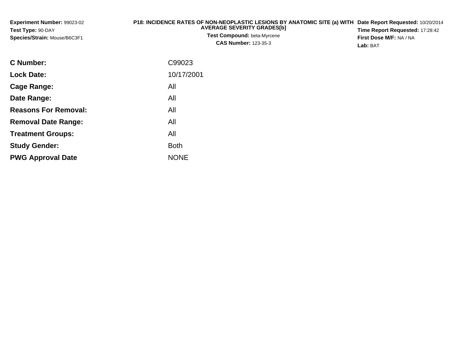| <b>Experiment Number: 99023-02</b> | P18: INCIDENCE RATES OF NON-NEOPLASTIC LESIONS BY ANATOMIC SITE (a) WITH Date Report Requested: 10/20/2014 |                                        |
|------------------------------------|------------------------------------------------------------------------------------------------------------|----------------------------------------|
| Test Type: 90-DAY                  | <b>AVERAGE SEVERITY GRADES[b]</b>                                                                          | <b>Time Report Requested: 17:28:42</b> |
| Species/Strain: Mouse/B6C3F1       | <b>Test Compound: beta-Myrcene</b><br><b>CAS Number: 123-35-3</b>                                          | <b>First Dose M/F: NA / NA</b>         |
|                                    |                                                                                                            | Lab: BAT                               |

| <b>C</b> Number:            | C99023      |
|-----------------------------|-------------|
| <b>Lock Date:</b>           | 10/17/2001  |
| Cage Range:                 | All         |
| Date Range:                 | All         |
| <b>Reasons For Removal:</b> | All         |
| <b>Removal Date Range:</b>  | All         |
| <b>Treatment Groups:</b>    | All         |
| <b>Study Gender:</b>        | <b>Both</b> |
| <b>PWG Approval Date</b>    | <b>NONE</b> |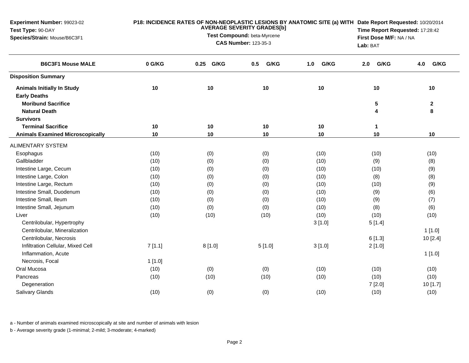| Experiment Number: 99023-02<br>Test Type: 90-DAY<br>Species/Strain: Mouse/B6C3F1 |          | P18: INCIDENCE RATES OF NON-NEOPLASTIC LESIONS BY ANATOMIC SITE (a) WITH Date Report Requested: 10/20/2014<br>Time Report Requested: 17:28:42<br>First Dose M/F: NA / NA<br>Lab: BAT |             |             |             |                   |
|----------------------------------------------------------------------------------|----------|--------------------------------------------------------------------------------------------------------------------------------------------------------------------------------------|-------------|-------------|-------------|-------------------|
| <b>B6C3F1 Mouse MALE</b>                                                         | 0 G/KG   | G/KG<br>0.25                                                                                                                                                                         | G/KG<br>0.5 | G/KG<br>1.0 | G/KG<br>2.0 | G/KG<br>4.0       |
| <b>Disposition Summary</b>                                                       |          |                                                                                                                                                                                      |             |             |             |                   |
| <b>Animals Initially In Study</b><br><b>Early Deaths</b>                         | 10       | 10                                                                                                                                                                                   | 10          | 10          | 10          | 10                |
| <b>Moribund Sacrifice</b><br><b>Natural Death</b>                                |          |                                                                                                                                                                                      |             |             | 5<br>4      | $\mathbf{2}$<br>8 |
| <b>Survivors</b>                                                                 |          |                                                                                                                                                                                      |             |             |             |                   |
| <b>Terminal Sacrifice</b><br><b>Animals Examined Microscopically</b>             | 10<br>10 | 10<br>10                                                                                                                                                                             | 10<br>10    | 10<br>10    | 1<br>10     | 10                |
| <b>ALIMENTARY SYSTEM</b>                                                         |          |                                                                                                                                                                                      |             |             |             |                   |
| Esophagus                                                                        | (10)     | (0)                                                                                                                                                                                  | (0)         | (10)        | (10)        | (10)              |
| Gallbladder                                                                      | (10)     | (0)                                                                                                                                                                                  | (0)         | (10)        | (9)         | (8)               |
| Intestine Large, Cecum                                                           | (10)     | (0)                                                                                                                                                                                  | (0)         | (10)        | (10)        | (9)               |
| Intestine Large, Colon                                                           | (10)     | (0)                                                                                                                                                                                  | (0)         | (10)        | (8)         | (8)               |
| Intestine Large, Rectum                                                          | (10)     | (0)                                                                                                                                                                                  | (0)         | (10)        | (10)        | (9)               |
| Intestine Small, Duodenum                                                        | (10)     | (0)                                                                                                                                                                                  | (0)         | (10)        | (9)         | (6)               |
| Intestine Small, Ileum                                                           | (10)     | (0)                                                                                                                                                                                  | (0)         | (10)        | (9)         | (7)               |
| Intestine Small, Jejunum                                                         | (10)     | (0)                                                                                                                                                                                  | (0)         | (10)        | (8)         | (6)               |
| Liver                                                                            | (10)     | (10)                                                                                                                                                                                 | (10)        | (10)        | (10)        | (10)              |
| Centrilobular, Hypertrophy                                                       |          |                                                                                                                                                                                      |             | 3[1.0]      | 5[1.4]      |                   |
| Centrilobular, Mineralization                                                    |          |                                                                                                                                                                                      |             |             |             | $1$ [1.0]         |
| Centrilobular, Necrosis                                                          |          |                                                                                                                                                                                      |             |             | 6[1.3]      | 10 [2.4]          |
| Infiltration Cellular, Mixed Cell                                                | 7[1.1]   | 8[1.0]                                                                                                                                                                               | 5[1.0]      | 3[1.0]      | 2[1.0]      |                   |
| Inflammation, Acute                                                              |          |                                                                                                                                                                                      |             |             |             | 1[1.0]            |
| Necrosis, Focal                                                                  | 1[1.0]   |                                                                                                                                                                                      |             |             |             |                   |
| Oral Mucosa                                                                      | (10)     | (0)                                                                                                                                                                                  | (0)         | (10)        | (10)        | (10)              |
| Pancreas                                                                         | (10)     | (10)                                                                                                                                                                                 | (10)        | (10)        | (10)        | (10)              |
| Degeneration                                                                     |          |                                                                                                                                                                                      |             |             | 7[2.0]      | 10 [1.7]          |
| Salivary Glands                                                                  | (10)     | (0)                                                                                                                                                                                  | (0)         | (10)        | (10)        | (10)              |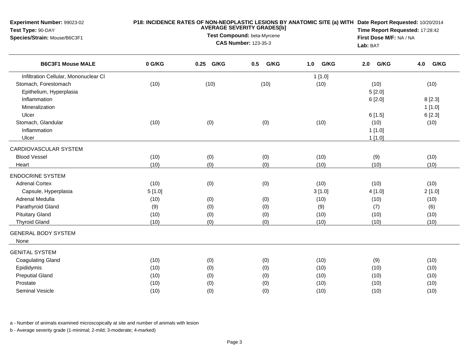| Experiment Number: 99023-02<br>Test Type: 90-DAY<br>Species/Strain: Mouse/B6C3F1 | P18: INCIDENCE RATES OF NON-NEOPLASTIC LESIONS BY ANATOMIC SITE (a) WITH Date Report Requested: 10/20/2014<br><b>AVERAGE SEVERITY GRADES[b]</b><br>Test Compound: beta-Myrcene<br><b>CAS Number: 123-35-3</b> |           |             |             |             | Time Report Requested: 17:28:42<br>First Dose M/F: NA / NA<br>Lab: BAT |  |  |
|----------------------------------------------------------------------------------|---------------------------------------------------------------------------------------------------------------------------------------------------------------------------------------------------------------|-----------|-------------|-------------|-------------|------------------------------------------------------------------------|--|--|
| <b>B6C3F1 Mouse MALE</b>                                                         | 0 G/KG                                                                                                                                                                                                        | 0.25 G/KG | G/KG<br>0.5 | G/KG<br>1.0 | G/KG<br>2.0 | G/KG<br>4.0                                                            |  |  |
| Infiltration Cellular, Mononuclear CI                                            |                                                                                                                                                                                                               |           |             | 1[1.0]      |             |                                                                        |  |  |
| Stomach, Forestomach                                                             | (10)                                                                                                                                                                                                          | (10)      | (10)        | (10)        | (10)        | (10)                                                                   |  |  |
| Epithelium, Hyperplasia                                                          |                                                                                                                                                                                                               |           |             |             | 5[2.0]      |                                                                        |  |  |
| Inflammation                                                                     |                                                                                                                                                                                                               |           |             |             | 6[2.0]      | 8[2.3]                                                                 |  |  |
| Mineralization                                                                   |                                                                                                                                                                                                               |           |             |             |             | 1[1.0]                                                                 |  |  |
| Ulcer                                                                            |                                                                                                                                                                                                               |           |             |             | 6[1.5]      | 6[2.3]                                                                 |  |  |
| Stomach, Glandular                                                               | (10)                                                                                                                                                                                                          | (0)       | (0)         | (10)        | (10)        | (10)                                                                   |  |  |
| Inflammation                                                                     |                                                                                                                                                                                                               |           |             |             | 1[1.0]      |                                                                        |  |  |
| Ulcer                                                                            |                                                                                                                                                                                                               |           |             |             | 1[1.0]      |                                                                        |  |  |
| CARDIOVASCULAR SYSTEM                                                            |                                                                                                                                                                                                               |           |             |             |             |                                                                        |  |  |
| <b>Blood Vessel</b>                                                              | (10)                                                                                                                                                                                                          | (0)       | (0)         | (10)        | (9)         | (10)                                                                   |  |  |
| Heart                                                                            | (10)                                                                                                                                                                                                          | (0)       | (0)         | (10)        | (10)        | (10)                                                                   |  |  |
| <b>ENDOCRINE SYSTEM</b>                                                          |                                                                                                                                                                                                               |           |             |             |             |                                                                        |  |  |
| <b>Adrenal Cortex</b>                                                            | (10)                                                                                                                                                                                                          | (0)       | (0)         | (10)        | (10)        | (10)                                                                   |  |  |
| Capsule, Hyperplasia                                                             | 5[1.0]                                                                                                                                                                                                        |           |             | 3[1.0]      | 4[1.0]      | 2[1.0]                                                                 |  |  |
| Adrenal Medulla                                                                  | (10)                                                                                                                                                                                                          | (0)       | (0)         | (10)        | (10)        | (10)                                                                   |  |  |
| Parathyroid Gland                                                                | (9)                                                                                                                                                                                                           | (0)       | (0)         | (9)         | (7)         | (6)                                                                    |  |  |
| <b>Pituitary Gland</b>                                                           | (10)                                                                                                                                                                                                          | (0)       | (0)         | (10)        | (10)        | (10)                                                                   |  |  |
| <b>Thyroid Gland</b>                                                             | (10)                                                                                                                                                                                                          | (0)       | (0)         | (10)        | (10)        | (10)                                                                   |  |  |
| <b>GENERAL BODY SYSTEM</b>                                                       |                                                                                                                                                                                                               |           |             |             |             |                                                                        |  |  |
| None                                                                             |                                                                                                                                                                                                               |           |             |             |             |                                                                        |  |  |
| <b>GENITAL SYSTEM</b>                                                            |                                                                                                                                                                                                               |           |             |             |             |                                                                        |  |  |
| <b>Coagulating Gland</b>                                                         | (10)                                                                                                                                                                                                          | (0)       | (0)         | (10)        | (9)         | (10)                                                                   |  |  |
| Epididymis                                                                       | (10)                                                                                                                                                                                                          | (0)       | (0)         | (10)        | (10)        | (10)                                                                   |  |  |
| <b>Preputial Gland</b>                                                           | (10)                                                                                                                                                                                                          | (0)       | (0)         | (10)        | (10)        | (10)                                                                   |  |  |
| Prostate                                                                         | (10)                                                                                                                                                                                                          | (0)       | (0)         | (10)        | (10)        | (10)                                                                   |  |  |
| Seminal Vesicle                                                                  | (10)                                                                                                                                                                                                          | (0)       | (0)         | (10)        | (10)        | (10)                                                                   |  |  |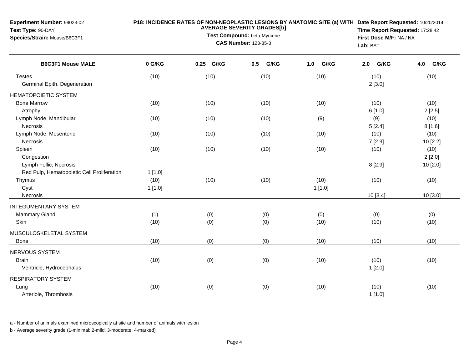| <b>Experiment Number: 99023-02</b><br>Test Type: 90-DAY<br>Species/Strain: Mouse/B6C3F1 | P18: INCIDENCE RATES OF NON-NEOPLASTIC LESIONS BY ANATOMIC SITE (a) WITH Date Report Requested: 10/20/2014<br><b>AVERAGE SEVERITY GRADES[b]</b><br>Test Compound: beta-Myrcene<br><b>CAS Number: 123-35-3</b> |            |             |                |                  | Time Report Requested: 17:28:42<br>First Dose M/F: NA / NA<br>Lab: BAT |  |
|-----------------------------------------------------------------------------------------|---------------------------------------------------------------------------------------------------------------------------------------------------------------------------------------------------------------|------------|-------------|----------------|------------------|------------------------------------------------------------------------|--|
| <b>B6C3F1 Mouse MALE</b>                                                                | 0 G/KG                                                                                                                                                                                                        | 0.25 G/KG  | G/KG<br>0.5 | G/KG<br>1.0    | G/KG<br>2.0      | 4.0<br>G/KG                                                            |  |
| <b>Testes</b><br>Germinal Epith, Degeneration                                           | (10)                                                                                                                                                                                                          | (10)       | (10)        | (10)           | (10)<br>2[3.0]   | (10)                                                                   |  |
| <b>HEMATOPOIETIC SYSTEM</b>                                                             |                                                                                                                                                                                                               |            |             |                |                  |                                                                        |  |
| <b>Bone Marrow</b><br>Atrophy                                                           | (10)                                                                                                                                                                                                          | (10)       | (10)        | (10)           | (10)<br>6 [1.0]  | (10)<br>2[2.5]                                                         |  |
| Lymph Node, Mandibular<br>Necrosis                                                      | (10)                                                                                                                                                                                                          | (10)       | (10)        | (9)            | (9)<br>5[2.4]    | (10)<br>8[1.6]                                                         |  |
| Lymph Node, Mesenteric<br>Necrosis                                                      | (10)                                                                                                                                                                                                          | (10)       | (10)        | (10)           | (10)<br>7[2.9]   | (10)<br>10 [2.2]                                                       |  |
| Spleen<br>Congestion                                                                    | (10)                                                                                                                                                                                                          | (10)       | (10)        | (10)           | (10)             | (10)<br>2[2.0]                                                         |  |
| Lymph Follic, Necrosis<br>Red Pulp, Hematopoietic Cell Proliferation                    | 1[1.0]                                                                                                                                                                                                        |            |             |                | 8[2.9]           | 10 [2.0]                                                               |  |
| Thymus<br>Cyst<br>Necrosis                                                              | (10)<br>1[1.0]                                                                                                                                                                                                | (10)       | (10)        | (10)<br>1[1.0] | (10)<br>10 [3.4] | (10)<br>10 [3.0]                                                       |  |
|                                                                                         |                                                                                                                                                                                                               |            |             |                |                  |                                                                        |  |
| <b>INTEGUMENTARY SYSTEM</b><br><b>Mammary Gland</b><br>Skin                             | (1)<br>(10)                                                                                                                                                                                                   | (0)<br>(0) | (0)<br>(0)  | (0)<br>(10)    | (0)<br>(10)      | (0)<br>(10)                                                            |  |
| MUSCULOSKELETAL SYSTEM<br>Bone                                                          | (10)                                                                                                                                                                                                          | (0)        | (0)         | (10)           | (10)             | (10)                                                                   |  |
| NERVOUS SYSTEM<br><b>Brain</b><br>Ventricle, Hydrocephalus                              | (10)                                                                                                                                                                                                          | (0)        | (0)         | (10)           | (10)<br>1[2.0]   | (10)                                                                   |  |
| <b>RESPIRATORY SYSTEM</b><br>Lung<br>Arteriole, Thrombosis                              | (10)                                                                                                                                                                                                          | (0)        | (0)         | (10)           | (10)<br>1[1.0]   | (10)                                                                   |  |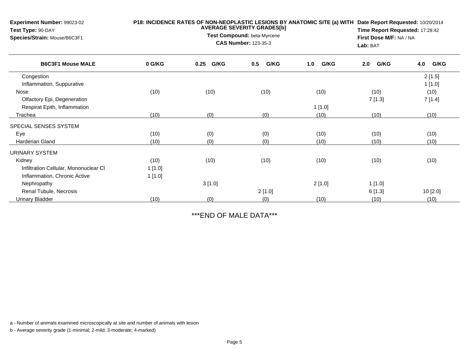| Experiment Number: 99023-02<br>Test Type: 90-DAY<br>Species/Strain: Mouse/B6C3F1 | P18: INCIDENCE RATES OF NON-NEOPLASTIC LESIONS BY ANATOMIC SITE (a) WITH | Date Report Requested: 10/20/2014<br>Time Report Requested: 17:28:42<br>First Dose M/F: NA / NA<br>Lab: BAT |             |             |             |             |
|----------------------------------------------------------------------------------|--------------------------------------------------------------------------|-------------------------------------------------------------------------------------------------------------|-------------|-------------|-------------|-------------|
| <b>B6C3F1 Mouse MALE</b>                                                         | 0 G/KG                                                                   | G/KG<br>0.25                                                                                                | G/KG<br>0.5 | G/KG<br>1.0 | G/KG<br>2.0 | G/KG<br>4.0 |
| Congestion                                                                       |                                                                          |                                                                                                             |             |             |             | 2[1.5]      |
| Inflammation, Suppurative                                                        |                                                                          |                                                                                                             |             |             |             | 1[1.0]      |
| Nose                                                                             | (10)                                                                     | (10)                                                                                                        | (10)        | (10)        | (10)        | (10)        |
| Olfactory Epi, Degeneration                                                      |                                                                          |                                                                                                             |             |             | 7[1.3]      | 7[1.4]      |
| Respirat Epith, Inflammation                                                     |                                                                          |                                                                                                             |             | 1[1.0]      |             |             |
| Trachea                                                                          | (10)                                                                     | (0)                                                                                                         | (0)         | (10)        | (10)        | (10)        |
| SPECIAL SENSES SYSTEM                                                            |                                                                          |                                                                                                             |             |             |             |             |
| Eye                                                                              | (10)                                                                     | (0)                                                                                                         | (0)         | (10)        | (10)        | (10)        |
| <b>Harderian Gland</b>                                                           | (10)                                                                     | (0)                                                                                                         | (0)         | (10)        | (10)        | (10)        |
| URINARY SYSTEM                                                                   |                                                                          |                                                                                                             |             |             |             |             |
| Kidney                                                                           | (10)                                                                     | (10)                                                                                                        | (10)        | (10)        | (10)        | (10)        |
| Infiltration Cellular, Mononuclear CI                                            | 1 [1.0]                                                                  |                                                                                                             |             |             |             |             |
| Inflammation, Chronic Active                                                     | 1[1.0]                                                                   |                                                                                                             |             |             |             |             |
| Nephropathy                                                                      |                                                                          | 3[1.0]                                                                                                      |             | 2[1.0]      | 1[1.0]      |             |
| Renal Tubule, Necrosis                                                           |                                                                          |                                                                                                             | 2[1.0]      |             | 6[1.3]      | 10 [2.0]    |
| Urinary Bladder                                                                  | (10)                                                                     | (0)                                                                                                         | (0)         | (10)        | (10)        | (10)        |

\*\*\*END OF MALE DATA\*\*\*

a - Number of animals examined microscopically at site and number of animals with lesion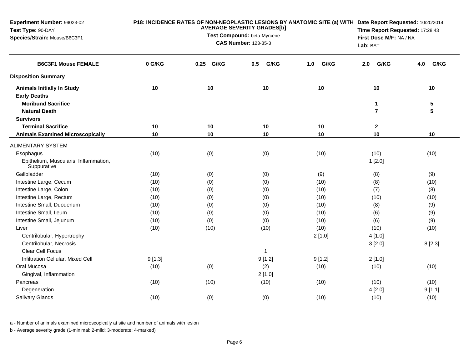| Experiment Number: 99023-02<br>Test Type: 90-DAY<br>Species/Strain: Mouse/B6C3F1 |        | P18: INCIDENCE RATES OF NON-NEOPLASTIC LESIONS BY ANATOMIC SITE (a) WITH Date Report Requested: 10/20/2014<br>Time Report Requested: 17:28:43<br>First Dose M/F: NA / NA<br>Lab: BAT |              |             |                |             |
|----------------------------------------------------------------------------------|--------|--------------------------------------------------------------------------------------------------------------------------------------------------------------------------------------|--------------|-------------|----------------|-------------|
| <b>B6C3F1 Mouse FEMALE</b>                                                       | 0 G/KG | G/KG<br>0.25                                                                                                                                                                         | G/KG<br>0.5  | G/KG<br>1.0 | G/KG<br>2.0    | G/KG<br>4.0 |
| <b>Disposition Summary</b>                                                       |        |                                                                                                                                                                                      |              |             |                |             |
| <b>Animals Initially In Study</b>                                                | 10     | 10                                                                                                                                                                                   | 10           | 10          | 10             | 10          |
| <b>Early Deaths</b>                                                              |        |                                                                                                                                                                                      |              |             |                |             |
| <b>Moribund Sacrifice</b>                                                        |        |                                                                                                                                                                                      |              |             | $\mathbf 1$    | 5           |
| <b>Natural Death</b>                                                             |        |                                                                                                                                                                                      |              |             | $\overline{7}$ | 5           |
| <b>Survivors</b>                                                                 |        |                                                                                                                                                                                      |              |             |                |             |
| <b>Terminal Sacrifice</b>                                                        | 10     | 10                                                                                                                                                                                   | 10           | 10          | $\mathbf{2}$   |             |
| <b>Animals Examined Microscopically</b>                                          | 10     | 10                                                                                                                                                                                   | 10           | 10          | 10             | 10          |
| <b>ALIMENTARY SYSTEM</b>                                                         |        |                                                                                                                                                                                      |              |             |                |             |
| Esophagus                                                                        | (10)   | (0)                                                                                                                                                                                  | (0)          | (10)        | (10)           | (10)        |
| Epithelium, Muscularis, Inflammation,<br>Suppurative                             |        |                                                                                                                                                                                      |              |             | 1[2.0]         |             |
| Gallbladder                                                                      | (10)   | (0)                                                                                                                                                                                  | (0)          | (9)         | (8)            | (9)         |
| Intestine Large, Cecum                                                           | (10)   | (0)                                                                                                                                                                                  | (0)          | (10)        | (8)            | (10)        |
| Intestine Large, Colon                                                           | (10)   | (0)                                                                                                                                                                                  | (0)          | (10)        | (7)            | (8)         |
| Intestine Large, Rectum                                                          | (10)   | (0)                                                                                                                                                                                  | (0)          | (10)        | (10)           | (10)        |
| Intestine Small, Duodenum                                                        | (10)   | (0)                                                                                                                                                                                  | (0)          | (10)        | (8)            | (9)         |
| Intestine Small, Ileum                                                           | (10)   | (0)                                                                                                                                                                                  | (0)          | (10)        | (6)            | (9)         |
| Intestine Small, Jejunum                                                         | (10)   | (0)                                                                                                                                                                                  | (0)          | (10)        | (6)            | (9)         |
| Liver                                                                            | (10)   | (10)                                                                                                                                                                                 | (10)         | (10)        | (10)           | (10)        |
| Centrilobular, Hypertrophy                                                       |        |                                                                                                                                                                                      |              | 2[1.0]      | 4 [1.0]        |             |
| Centrilobular, Necrosis                                                          |        |                                                                                                                                                                                      |              |             | 3[2.0]         | 8[2.3]      |
| <b>Clear Cell Focus</b>                                                          |        |                                                                                                                                                                                      | $\mathbf{1}$ |             |                |             |
| Infiltration Cellular, Mixed Cell                                                | 9[1.3] |                                                                                                                                                                                      | 9[1.2]       | 9[1.2]      | 2[1.0]         |             |
| Oral Mucosa                                                                      | (10)   | (0)                                                                                                                                                                                  | (2)          | (10)        | (10)           | (10)        |
| Gingival, Inflammation                                                           |        |                                                                                                                                                                                      | 2[1.0]       |             |                |             |
| Pancreas                                                                         | (10)   | (10)                                                                                                                                                                                 | (10)         | (10)        | (10)           | (10)        |
| Degeneration                                                                     |        |                                                                                                                                                                                      |              |             | 4[2.0]         | 9[1.1]      |
| <b>Salivary Glands</b>                                                           | (10)   | (0)                                                                                                                                                                                  | (0)          | (10)        | (10)           | (10)        |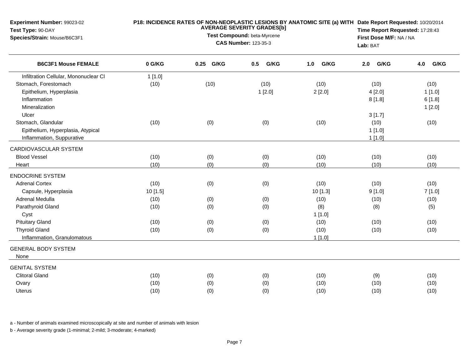| Experiment Number: 99023-02<br>Test Type: 90-DAY<br>Species/Strain: Mouse/B6C3F1 | P18: INCIDENCE RATES OF NON-NEOPLASTIC LESIONS BY ANATOMIC SITE (a) WITH Date Report Requested: 10/20/2014<br><b>AVERAGE SEVERITY GRADES[b]</b><br>Test Compound: beta-Myrcene<br><b>CAS Number: 123-35-3</b> |           |             |             |             | Time Report Requested: 17:28:43<br>First Dose M/F: NA / NA<br>Lab: BAT |  |
|----------------------------------------------------------------------------------|---------------------------------------------------------------------------------------------------------------------------------------------------------------------------------------------------------------|-----------|-------------|-------------|-------------|------------------------------------------------------------------------|--|
| <b>B6C3F1 Mouse FEMALE</b>                                                       | 0 G/KG                                                                                                                                                                                                        | 0.25 G/KG | 0.5<br>G/KG | 1.0<br>G/KG | G/KG<br>2.0 | G/KG<br>4.0                                                            |  |
| Infiltration Cellular, Mononuclear CI                                            | 1[1.0]                                                                                                                                                                                                        |           |             |             |             |                                                                        |  |
| Stomach, Forestomach                                                             | (10)                                                                                                                                                                                                          | (10)      | (10)        | (10)        | (10)        | (10)                                                                   |  |
| Epithelium, Hyperplasia                                                          |                                                                                                                                                                                                               |           | 1[2.0]      | 2[2.0]      | 4[2.0]      | 1[1.0]                                                                 |  |
| Inflammation                                                                     |                                                                                                                                                                                                               |           |             |             | 8[1.8]      | 6[1.8]                                                                 |  |
| Mineralization                                                                   |                                                                                                                                                                                                               |           |             |             |             | 1[2.0]                                                                 |  |
| Ulcer                                                                            |                                                                                                                                                                                                               |           |             |             | 3[1.7]      |                                                                        |  |
| Stomach, Glandular                                                               | (10)                                                                                                                                                                                                          | (0)       | (0)         | (10)        | (10)        | (10)                                                                   |  |
| Epithelium, Hyperplasia, Atypical                                                |                                                                                                                                                                                                               |           |             |             | 1[1.0]      |                                                                        |  |
| Inflammation, Suppurative                                                        |                                                                                                                                                                                                               |           |             |             | 1[1.0]      |                                                                        |  |
| CARDIOVASCULAR SYSTEM                                                            |                                                                                                                                                                                                               |           |             |             |             |                                                                        |  |
| <b>Blood Vessel</b>                                                              | (10)                                                                                                                                                                                                          | (0)       | (0)         | (10)        | (10)        | (10)                                                                   |  |
| Heart                                                                            | (10)                                                                                                                                                                                                          | (0)       | (0)         | (10)        | (10)        | (10)                                                                   |  |
| <b>ENDOCRINE SYSTEM</b>                                                          |                                                                                                                                                                                                               |           |             |             |             |                                                                        |  |
| <b>Adrenal Cortex</b>                                                            | (10)                                                                                                                                                                                                          | (0)       | (0)         | (10)        | (10)        | (10)                                                                   |  |
| Capsule, Hyperplasia                                                             | 10[1.5]                                                                                                                                                                                                       |           |             | 10 [1.3]    | 9[1.0]      | 7[1.0]                                                                 |  |
| Adrenal Medulla                                                                  | (10)                                                                                                                                                                                                          | (0)       | (0)         | (10)        | (10)        | (10)                                                                   |  |
| Parathyroid Gland                                                                | (10)                                                                                                                                                                                                          | (0)       | (0)         | (8)         | (8)         | (5)                                                                    |  |
| Cyst                                                                             |                                                                                                                                                                                                               |           |             | 1[1.0]      |             |                                                                        |  |
| <b>Pituitary Gland</b>                                                           | (10)                                                                                                                                                                                                          | (0)       | (0)         | (10)        | (10)        | (10)                                                                   |  |
| <b>Thyroid Gland</b>                                                             | (10)                                                                                                                                                                                                          | (0)       | (0)         | (10)        | (10)        | (10)                                                                   |  |
| Inflammation, Granulomatous                                                      |                                                                                                                                                                                                               |           |             | 1[1.0]      |             |                                                                        |  |
| <b>GENERAL BODY SYSTEM</b>                                                       |                                                                                                                                                                                                               |           |             |             |             |                                                                        |  |
| None                                                                             |                                                                                                                                                                                                               |           |             |             |             |                                                                        |  |
| <b>GENITAL SYSTEM</b>                                                            |                                                                                                                                                                                                               |           |             |             |             |                                                                        |  |
| <b>Clitoral Gland</b>                                                            | (10)                                                                                                                                                                                                          | (0)       | (0)         | (10)        | (9)         | (10)                                                                   |  |
| Ovary                                                                            | (10)                                                                                                                                                                                                          | (0)       | (0)         | (10)        | (10)        | (10)                                                                   |  |
| Uterus                                                                           | (10)                                                                                                                                                                                                          | (0)       | (0)         | (10)        | (10)        | (10)                                                                   |  |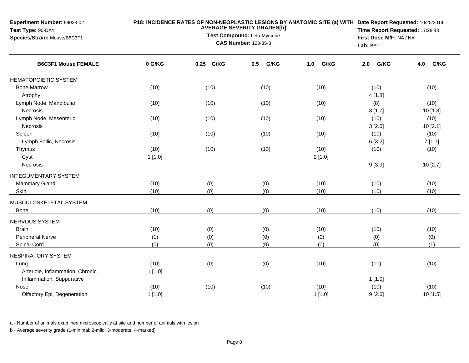| Experiment Number: 99023-02<br>Test Type: 90-DAY<br>Species/Strain: Mouse/B6C3F1 |                | Lab: BAT   | P18: INCIDENCE RATES OF NON-NEOPLASTIC LESIONS BY ANATOMIC SITE (a) WITH Date Report Requested: 10/20/2014<br>Time Report Requested: 17:28:43<br>First Dose M/F: NA / NA |                 |                |                  |
|----------------------------------------------------------------------------------|----------------|------------|--------------------------------------------------------------------------------------------------------------------------------------------------------------------------|-----------------|----------------|------------------|
| <b>B6C3F1 Mouse FEMALE</b>                                                       | 0 G/KG         | 0.25 G/KG  | 0.5<br>G/KG                                                                                                                                                              | G/KG<br>1.0     | G/KG<br>2.0    | 4.0<br>G/KG      |
| <b>HEMATOPOIETIC SYSTEM</b>                                                      |                |            |                                                                                                                                                                          |                 |                |                  |
| <b>Bone Marrow</b><br>Atrophy                                                    | (10)           | (10)       | (10)                                                                                                                                                                     | (10)            | (10)<br>4[1.8] | (10)             |
| Lymph Node, Mandibular<br>Necrosis                                               | (10)           | (10)       | (10)                                                                                                                                                                     | (10)            | (8)<br>3[1.7]  | (10)<br>10 [1.8] |
| Lymph Node, Mesenteric<br>Necrosis                                               | (10)           | (10)       | (10)                                                                                                                                                                     | (10)            | (10)<br>3[2.0] | (10)<br>10[2.1]  |
| Spleen<br>Lymph Follic, Necrosis                                                 | (10)           | (10)       | (10)                                                                                                                                                                     | (10)            | (10)<br>6[3.2] | (10)<br>7[1.7]   |
| Thymus<br>Cyst                                                                   | (10)<br>1[1.0] | (10)       | (10)                                                                                                                                                                     | (10)<br>2[1.0]  | (10)           | (10)             |
| Necrosis                                                                         |                |            |                                                                                                                                                                          |                 | 9[3.9]         | 10 [2.7]         |
| <b>INTEGUMENTARY SYSTEM</b>                                                      |                |            |                                                                                                                                                                          |                 |                |                  |
| <b>Mammary Gland</b><br>Skin                                                     | (10)<br>(10)   | (0)<br>(0) | (0)<br>(0)                                                                                                                                                               | (10)<br>(10)    | (10)<br>(10)   | (10)<br>(10)     |
| MUSCULOSKELETAL SYSTEM                                                           |                | (0)        | (0)                                                                                                                                                                      | (10)            | (10)           | (10)             |
| Bone                                                                             | (10)           |            |                                                                                                                                                                          |                 |                |                  |
| NERVOUS SYSTEM<br><b>Brain</b>                                                   | (10)           | (0)        |                                                                                                                                                                          | (10)            | (10)           | (10)             |
| Peripheral Nerve                                                                 | (1)            | (0)        | (0)<br>(0)                                                                                                                                                               | (0)             | (0)            | (0)              |
| Spinal Cord                                                                      | (0)            | (0)        | (0)                                                                                                                                                                      | (0)             | (0)            | (1)              |
| <b>RESPIRATORY SYSTEM</b>                                                        |                |            |                                                                                                                                                                          |                 |                |                  |
| Lung<br>Arteriole, Inflammation, Chronic<br>Inflammation, Suppurative            | (10)<br>1[1.0] | (0)        | (0)                                                                                                                                                                      | (10)            | (10)<br>1[1.0] | (10)             |
| Nose<br>Olfactory Epi, Degeneration                                              | (10)<br>1[1.0] | (10)       | (10)                                                                                                                                                                     | (10)<br>1 [1.0] | (10)<br>9[2.6] | (10)<br>10 [1.5] |